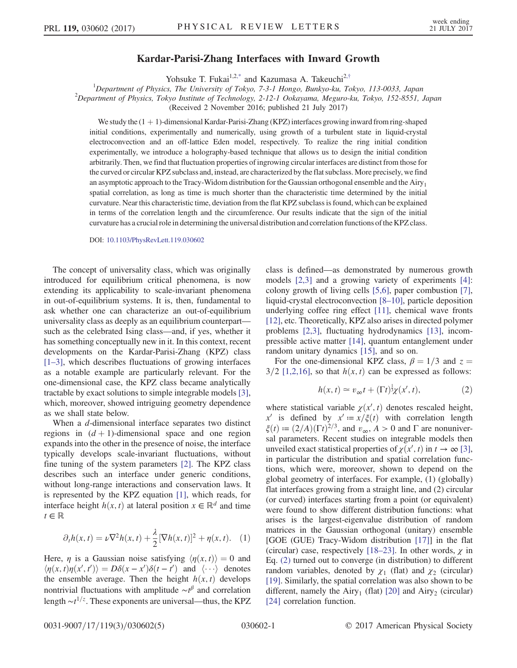## Kardar-Parisi-Zhang Interfaces with Inward Growth

Yohsuke T. Fukai<sup>1,[2,\\*](#page-4-0)</sup> and Kazumasa A. Takeuchi<sup>2,[†](#page-4-1)</sup>

<span id="page-0-1"></span><sup>1</sup>Department of Physics, The University of Tokyo, 7-3-1 Hongo, Bunkyo-ku, Tokyo, 113-0033, Japan <sup>2</sup>Department of Physics, Telus, Japan <sup>2</sup>Department of Physics, Tokyo Institute of Technology, 2-12-1 Ookayama, Meguro-ku, Tokyo, 152-8551, Japan

(Received 2 November 2016; published 21 July 2017)

We study the  $(1 + 1)$ -dimensional Kardar-Parisi-Zhang (KPZ) interfaces growing inward from ring-shaped initial conditions, experimentally and numerically, using growth of a turbulent state in liquid-crystal electroconvection and an off-lattice Eden model, respectively. To realize the ring initial condition experimentally, we introduce a holography-based technique that allows us to design the initial condition arbitrarily. Then, we find that fluctuation properties of ingrowing circular interfaces are distinct from those for the curved or circular KPZ subclass and, instead, are characterized by the flat subclass. More precisely, we find an asymptotic approach to the Tracy-Widom distribution for the Gaussian orthogonal ensemble and the  $Airy<sub>1</sub>$ spatial correlation, as long as time is much shorter than the characteristic time determined by the initial curvature. Near this characteristic time, deviation from the flat KPZ subclass is found, which can be explained in terms of the correlation length and the circumference. Our results indicate that the sign of the initial curvature has a crucial role in determining the universal distribution and correlation functions of the KPZ class.

DOI: [10.1103/PhysRevLett.119.030602](https://doi.org/10.1103/PhysRevLett.119.030602)

The concept of universality class, which was originally introduced for equilibrium critical phenomena, is now extending its applicability to scale-invariant phenomena in out-of-equilibrium systems. It is, then, fundamental to ask whether one can characterize an out-of-equilibrium universality class as deeply as an equilibrium counterpart such as the celebrated Ising class—and, if yes, whether it has something conceptually new in it. In this context, recent developments on the Kardar-Parisi-Zhang (KPZ) class [\[1](#page-4-2)–3], which describes fluctuations of growing interfaces as a notable example are particularly relevant. For the one-dimensional case, the KPZ class became analytically tractable by exact solutions to simple integrable models [\[3\]](#page-4-3), which, moreover, showed intriguing geometry dependence as we shall state below.

When a d-dimensional interface separates two distinct regions in  $(d+1)$ -dimensional space and one region expands into the other in the presence of noise, the interface typically develops scale-invariant fluctuations, without fine tuning of the system parameters [\[2\]](#page-4-4). The KPZ class describes such an interface under generic conditions, without long-range interactions and conservation laws. It is represented by the KPZ equation [\[1\],](#page-4-2) which reads, for interface height  $h(x, t)$  at lateral position  $x \in \mathbb{R}^d$  and time  $t \in \mathbb{R}$ 

$$
\partial_t h(x,t) = \nu \nabla^2 h(x,t) + \frac{\lambda}{2} [\nabla h(x,t)]^2 + \eta(x,t). \quad (1)
$$

Here,  $\eta$  is a Gaussian noise satisfying  $\langle \eta(x, t) \rangle = 0$  and  $\langle \eta(x, t) \eta(x', t') \rangle = D\delta(x - x') \delta(t - t')$  and  $\langle \cdots \rangle$  denotes the ensemble average. Then the height  $h(x, t)$  develops nontrivial fluctuations with amplitude  $\sim t^{\beta}$  and correlation length  $\sim t^{1/z}$ . These exponents are universal—thus, the KPZ class is defined—as demonstrated by numerous growth models [\[2,3\]](#page-4-4) and a growing variety of experiments [\[4\]](#page-4-5): colony growth of living cells [\[5,6\]](#page-4-6), paper combustion [\[7\]](#page-4-7), liquid-crystal electroconvection [8–[10\]](#page-4-8), particle deposition underlying coffee ring effect [\[11\],](#page-4-9) chemical wave fronts [\[12\]](#page-4-10), etc. Theoretically, KPZ also arises in directed polymer problems [\[2,3\],](#page-4-4) fluctuating hydrodynamics [\[13\],](#page-4-11) incompressible active matter [\[14\],](#page-4-12) quantum entanglement under random unitary dynamics [\[15\]](#page-4-13), and so on.

<span id="page-0-0"></span>For the one-dimensional KPZ class,  $\beta = 1/3$  and  $z =$  $3/2$  [\[1,2,16\]](#page-4-2), so that  $h(x, t)$  can be expressed as follows:

$$
h(x,t) \simeq v_{\infty}t + (\Gamma t)^{\frac{1}{3}}\chi(x',t), \qquad (2)
$$

where statistical variable  $\chi(x', t)$  denotes rescaled height, x' is defined by  $x' := x/\xi(t)$  with correlation length  $\xi(t) := (2/A)(\Gamma t)^{2/3}$ , and  $v_{\infty}$ ,  $A > 0$  and  $\Gamma$  are nonuniversal parameters. Recent studies on integrable models then unveiled exact statistical properties of  $\chi(x', t)$  in  $t \to \infty$  [\[3\]](#page-4-3), in particular the distribution and spatial correlation functions, which were, moreover, shown to depend on the global geometry of interfaces. For example, (1) (globally) flat interfaces growing from a straight line, and (2) circular (or curved) interfaces starting from a point (or equivalent) were found to show different distribution functions: what arises is the largest-eigenvalue distribution of random matrices in the Gaussian orthogonal (unitary) ensemble [GOE (GUE) Tracy-Widom distribution [\[17\]\]](#page-4-14) in the flat (circular) case, respectively [\[18](#page-4-15)–23]. In other words,  $\chi$  in Eq. [\(2\)](#page-0-0) turned out to converge (in distribution) to different random variables, denoted by  $\chi_1$  (flat) and  $\chi_2$  (circular) [\[19\]](#page-4-16). Similarly, the spatial correlation was also shown to be different, namely the Airy<sub>1</sub> (flat) [\[20\]](#page-4-17) and Airy<sub>2</sub> (circular) [\[24\]](#page-4-18) correlation function.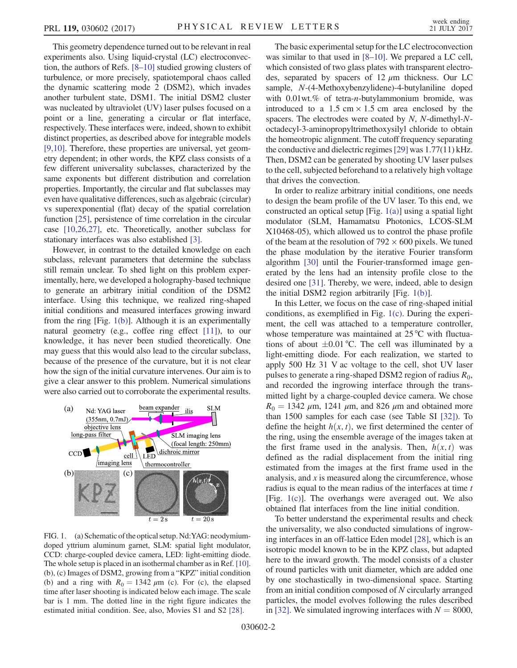This geometry dependence turned out to be relevant in real experiments also. Using liquid-crystal (LC) electroconvection, the authors of Refs. [8–[10\]](#page-4-8) studied growing clusters of turbulence, or more precisely, spatiotemporal chaos called the dynamic scattering mode 2 (DSM2), which invades another turbulent state, DSM1. The initial DSM2 cluster was nucleated by ultraviolet (UV) laser pulses focused on a point or a line, generating a circular or flat interface, respectively. These interfaces were, indeed, shown to exhibit distinct properties, as described above for integrable models [\[9,10\].](#page-4-19) Therefore, these properties are universal, yet geometry dependent; in other words, the KPZ class consists of a few different universality subclasses, characterized by the same exponents but different distribution and correlation properties. Importantly, the circular and flat subclasses may even have qualitative differences, such as algebraic (circular) vs superexponential (flat) decay of the spatial correlation function [\[25\]](#page-4-20), persistence of time correlation in the circular case [\[10,26,27\]](#page-4-21), etc. Theoretically, another subclass for stationary interfaces was also established [\[3\].](#page-4-3)

However, in contrast to the detailed knowledge on each subclass, relevant parameters that determine the subclass still remain unclear. To shed light on this problem experimentally, here, we developed a holography-based technique to generate an arbitrary initial condition of the DSM2 interface. Using this technique, we realized ring-shaped initial conditions and measured interfaces growing inward from the ring [Fig. [1\(b\)](#page-1-0)]. Although it is an experimentally natural geometry (e.g., coffee ring effect [\[11\]](#page-4-9)), to our knowledge, it has never been studied theoretically. One may guess that this would also lead to the circular subclass, because of the presence of the curvature, but it is not clear how the sign of the initial curvature intervenes. Our aim is to give a clear answer to this problem. Numerical simulations were also carried out to corroborate the experimental results.

<span id="page-1-0"></span>

FIG. 1. (a) Schematic of the optical setup. Nd:YAG: neodymiumdoped yttrium aluminum garnet, SLM: spatial light modulator, CCD: charge-coupled device camera, LED: light-emitting diode. The whole setup is placed in an isothermal chamber as in Ref. [\[10\].](#page-4-21) (b), (c) Images of DSM2, growing from a "KPZ" initial condition (b) and a ring with  $R_0 = 1342 \mu m$  (c). For (c), the elapsed time after laser shooting is indicated below each image. The scale bar is 1 mm. The dotted line in the right figure indicates the estimated initial condition. See, also, Movies S1 and S2 [\[28\]](#page-4-26).

The basic experimental setup for the LC electroconvection was similar to that used in [8–[10\].](#page-4-8) We prepared a LC cell, which consisted of two glass plates with transparent electrodes, separated by spacers of  $12 \mu m$  thickness. Our LC sample, N-(4-Methoxybenzylidene)-4-butylaniline doped with  $0.01$  wt.% of tetra-n-butylammonium bromide, was introduced to a 1.5 cm  $\times$  1.5 cm area enclosed by the spacers. The electrodes were coated by N, N-dimethyl-Noctadecyl-3-aminopropyltrimethoxysilyl chloride to obtain the homeotropic alignment. The cutoff frequency separating the conductive and dielectric regimes[\[29\]](#page-4-22) was 1.77(11) kHz. Then, DSM2 can be generated by shooting UV laser pulses to the cell, subjected beforehand to a relatively high voltage that drives the convection.

In order to realize arbitrary initial conditions, one needs to design the beam profile of the UV laser. To this end, we constructed an optical setup [Fig. [1\(a\)\]](#page-1-0) using a spatial light modulator (SLM, Hamamatsu Photonics, LCOS-SLM X10468-05), which allowed us to control the phase profile of the beam at the resolution of  $792 \times 600$  pixels. We tuned the phase modulation by the iterative Fourier transform algorithm [\[30\]](#page-4-23) until the Fourier-transformed image generated by the lens had an intensity profile close to the desired one [\[31\]](#page-4-24). Thereby, we were, indeed, able to design the initial DSM2 region arbitrarily [Fig. [1\(b\)](#page-1-0)].

In this Letter, we focus on the case of ring-shaped initial conditions, as exemplified in Fig. [1\(c\)](#page-1-0). During the experiment, the cell was attached to a temperature controller, whose temperature was maintained at 25 °C with fluctuations of about  $\pm 0.01$  °C. The cell was illuminated by a light-emitting diode. For each realization, we started to apply 500 Hz 31 V ac voltage to the cell, shot UV laser pulses to generate a ring-shaped DSM2 region of radius  $R_0$ , and recorded the ingrowing interface through the transmitted light by a charge-coupled device camera. We chose  $R_0 = 1342 \mu m$ , 1241  $\mu$ m, and 826  $\mu$ m and obtained more than 1500 samples for each case (see Table SI [\[32\]](#page-4-25)). To define the height  $h(x, t)$ , we first determined the center of the ring, using the ensemble average of the images taken at the first frame used in the analysis. Then,  $h(x, t)$  was defined as the radial displacement from the initial ring estimated from the images at the first frame used in the analysis, and  $x$  is measured along the circumference, whose radius is equal to the mean radius of the interfaces at time t [Fig. [1\(c\)\]](#page-1-0). The overhangs were averaged out. We also obtained flat interfaces from the line initial condition.

To better understand the experimental results and check the universality, we also conducted simulations of ingrowing interfaces in an off-lattice Eden model [\[28\]](#page-4-26), which is an isotropic model known to be in the KPZ class, but adapted here to the inward growth. The model consists of a cluster of round particles with unit diameter, which are added one by one stochastically in two-dimensional space. Starting from an initial condition composed of N circularly arranged particles, the model evolves following the rules described in [\[32\].](#page-4-25) We simulated ingrowing interfaces with  $N = 8000$ ,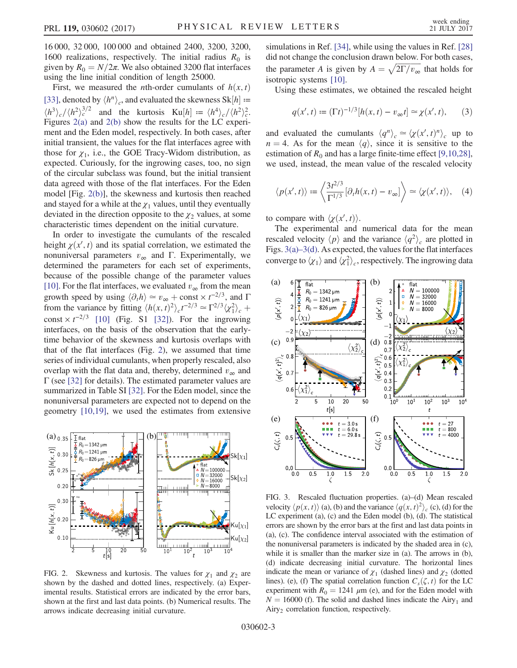16 000, 32 000, 100 000 and obtained 2400, 3200, 3200, 1600 realizations, respectively. The initial radius  $R_0$  is given by  $R_0 = N/2\pi$ . We also obtained 3200 flat interfaces using the line initial condition of length 25000.

First, we measured the *n*th-order cumulants of  $h(x, t)$ [\[33\]](#page-4-27), denoted by  $\langle h^n \rangle_c$ , and evaluated the skewness Sk[h] :=  $\langle h^3 \rangle_c / \langle h^2 \rangle_c^{3/2}$  and the kurtosis Ku[h] =  $\langle h^4 \rangle_c / \langle h^2 \rangle_c^2$ . Figures [2\(a\)](#page-2-0) and [2\(b\)](#page-2-0) show the results for the LC experiment and the Eden model, respectively. In both cases, after initial transient, the values for the flat interfaces agree with those for  $\chi_1$ , i.e., the GOE Tracy-Widom distribution, as expected. Curiously, for the ingrowing cases, too, no sign of the circular subclass was found, but the initial transient data agreed with those of the flat interfaces. For the Eden model [Fig. [2\(b\)\]](#page-2-0), the skewness and kurtosis then reached and stayed for a while at the  $\chi_1$  values, until they eventually deviated in the direction opposite to the  $\chi_2$  values, at some characteristic times dependent on the initial curvature.

In order to investigate the cumulants of the rescaled height  $\chi(x', t)$  and its spatial correlation, we estimated the nonuniversal parameters  $v_{\infty}$  and Γ. Experimentally, we determined the parameters for each set of experiments, because of the possible change of the parameter values [\[10\]](#page-4-21). For the flat interfaces, we evaluated  $v_{\infty}$  from the mean growth speed by using  $\langle \partial_t h \rangle \simeq v_\infty + \text{const} \times t^{-2/3}$ , and  $\Gamma$ from the variance by fitting  $\langle h(x, t)^2 \rangle_c t^{-2/3} \simeq \Gamma^{2/3} \langle \chi_1^2 \rangle_c +$ const  $\times t^{-2/3}$  [\[10\]](#page-4-21) (Fig. S1 [\[32\]\)](#page-4-25). For the ingrowing interfaces, on the basis of the observation that the earlytime behavior of the skewness and kurtosis overlaps with that of the flat interfaces (Fig. [2\)](#page-2-0), we assumed that time series of individual cumulants, when properly rescaled, also overlap with the flat data and, thereby, determined  $v_{\infty}$  and Γ (see [\[32\]](#page-4-25) for details). The estimated parameter values are summarized in Table SI [\[32\]](#page-4-25). For the Eden model, since the nonuniversal parameters are expected not to depend on the geometry [\[10,19\]](#page-4-21), we used the estimates from extensive

<span id="page-2-0"></span>

FIG. 2. Skewness and kurtosis. The values for  $\chi_1$  and  $\chi_2$  are shown by the dashed and dotted lines, respectively. (a) Experimental results. Statistical errors are indicated by the error bars, shown at the first and last data points. (b) Numerical results. The arrows indicate decreasing initial curvature.

simulations in Ref. [\[34\]](#page-4-28), while using the values in Ref. [\[28\]](#page-4-26) did not change the conclusion drawn below. For both cases, did not change the conclusion drawn below. For both cases,<br>the parameter A is given by  $A = \sqrt{2\Gamma/v_{\infty}}$  that holds for isotropic systems [\[10\].](#page-4-21)

Using these estimates, we obtained the rescaled height

$$
q(x',t) := (\Gamma t)^{-1/3} [h(x,t) - v_{\infty}t] \approx \chi(x',t), \qquad (3)
$$

and evaluated the cumulants  $\langle q^n \rangle_c \simeq \langle \chi(x',t)^n \rangle_c$  up to  $n = 4$ . As for the mean  $\langle q \rangle$ , since it is sensitive to the estimation of  $R_0$  and has a large finite-time effect [\[9,10,28\]](#page-4-19), we used, instead, the mean value of the rescaled velocity

$$
\langle p(x',t) \rangle := \left\langle \frac{3t^{2/3}}{\Gamma^{1/3}} [\partial_t h(x,t) - v_\infty] \right\rangle \simeq \langle \chi(x',t) \rangle, \quad (4)
$$

to compare with  $\langle \chi(x', t) \rangle$ .

The experimental and numerical data for the mean rescaled velocity  $\langle p \rangle$  and the variance  $\langle q^2 \rangle_c$  are plotted in Figs. 3(a)–[3\(d\).](#page-2-1) As expected, the values for the flat interfaces converge to  $\langle \chi_1 \rangle$  and  $\langle \chi_1^2 \rangle_c$ , respectively. The ingrowing data

<span id="page-2-1"></span>

FIG. 3. Rescaled fluctuation properties. (a)–(d) Mean rescaled velocity  $\langle p(x, t) \rangle$  (a), (b) and the variance  $\langle q(x, t)^2 \rangle_c$  (c), (d) for the LC experiment (a), (c) and the Eden model (b), (d). The statistical errors are shown by the error bars at the first and last data points in (a), (c). The confidence interval associated with the estimation of the nonuniversal parameters is indicated by the shaded area in (c), while it is smaller than the marker size in (a). The arrows in (b), (d) indicate decreasing initial curvature. The horizontal lines indicate the mean or variance of  $\chi_1$  (dashed lines) and  $\chi_2$  (dotted lines). (e), (f) The spatial correlation function  $C_s(\zeta, t)$  for the LC experiment with  $R_0 = 1241 \mu m$  (e), and for the Eden model with  $N = 16000$  (f). The solid and dashed lines indicate the Airy<sub>1</sub> and  $Airy<sub>2</sub>$  correlation function, respectively.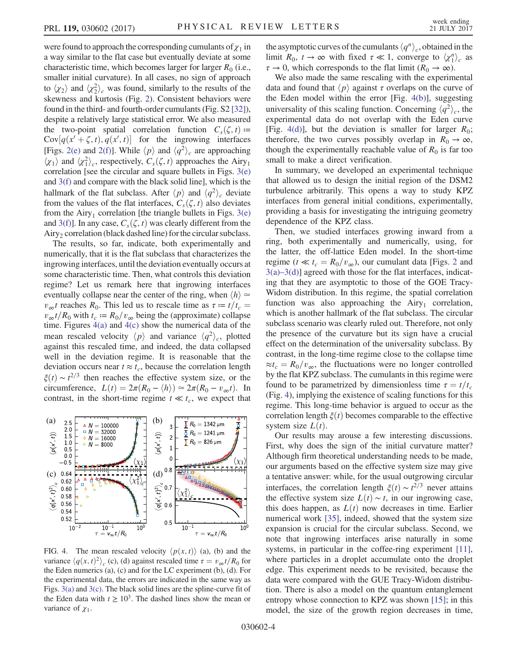were found to approach the corresponding cumulants of  $\chi_1$  in a way similar to the flat case but eventually deviate at some characteristic time, which becomes larger for larger  $R_0$  (i.e., smaller initial curvature). In all cases, no sign of approach to  $\langle \chi_2 \rangle$  and  $\langle \chi_2^2 \rangle_c$  was found, similarly to the results of the skewness and kurtosis (Fig. [2](#page-2-0)). Consistent behaviors were found in the third- and fourth-order cumulants (Fig. S2 [\[32\]](#page-4-25)), despite a relatively large statistical error. We also measured the two-point spatial correlation function  $C_s(\zeta,t) \coloneqq$  $Cov[q(x'+\zeta,t), q(x',t)]$  for the ingrowing interfaces [Figs. [2\(e\)](#page-2-0) and [2\(f\)\]](#page-2-0). While  $\langle p \rangle$  and  $\langle q^2 \rangle_c$  are approaching  $\langle \chi_1 \rangle$  and  $\langle \chi_1^2 \rangle_c$ , respectively,  $C_s(\zeta, t)$  approaches the Airy<sub>1</sub> correlation [see the circular and square bullets in Figs. [3\(e\)](#page-2-1) and [3\(f\)](#page-2-1) and compare with the black solid line], which is the hallmark of the flat subclass. After  $\langle p \rangle$  and  $\langle q^2 \rangle_c$  deviate from the values of the flat interfaces,  $C_s(\zeta, t)$  also deviates from the Airy<sub>1</sub> correlation [the triangle bullets in Figs.  $3(e)$ ] and [3\(f\)](#page-2-1)]. In any case,  $C_s(\zeta, t)$  was clearly different from the  $Airy<sub>2</sub> correlation (black dashed line) for the circular subclass.$ 

The results, so far, indicate, both experimentally and numerically, that it is the flat subclass that characterizes the ingrowing interfaces, until the deviation eventually occurs at some characteristic time. Then, what controls this deviation regime? Let us remark here that ingrowing interfaces eventually collapse near the center of the ring, when  $\langle h \rangle \simeq$  $v_{\infty}t$  reaches  $R_0$ . This led us to rescale time as  $\tau = t/t_c$  $v_{\infty}t/R_0$  with  $t_c := R_0/v_{\infty}$  being the (approximate) collapse time. Figures  $4(a)$  and  $4(c)$  show the numerical data of the mean rescaled velocity  $\langle p \rangle$  and variance  $\langle q^2 \rangle_c$ , plotted against this rescaled time, and indeed, the data collapsed well in the deviation regime. It is reasonable that the deviation occurs near  $t \approx t_c$ , because the correlation length  $\xi(t) \sim t^{2/3}$  then reaches the effective system size, or the circumference,  $L(t) = 2\pi(R_0 - \langle h \rangle) \approx 2\pi(R_0 - v_\infty t)$ . In contrast, in the short-time regime  $t \ll t_c$ , we expect that

<span id="page-3-0"></span>

FIG. 4. The mean rescaled velocity  $\langle p(x, t) \rangle$  (a), (b) and the variance  $\langle q(x, t)^2 \rangle_c$  (c), (d) against rescaled time  $\tau = v_{\infty} t/R_0$  for the Eden numerics (a), (c) and for the LC experiment (b), (d). For the experimental data, the errors are indicated in the same way as Figs. [3\(a\)](#page-2-1) and [3\(c\)](#page-2-1). The black solid lines are the spline-curve fit of the Eden data with  $t \ge 10^3$ . The dashed lines show the mean or variance of  $\chi_1$ .

the asymptotic curves of the cumulants  $\langle q^n \rangle_c$ , obtained in the limit  $R_0$ ,  $t \to \infty$  with fixed  $\tau \ll 1$ , converge to  $\langle \chi_1^n \rangle_c$  as  $\tau \to 0$ , which corresponds to the flat limit  $(R_0 \to \infty)$ .

We also made the same rescaling with the experimental data and found that  $\langle p \rangle$  against  $\tau$  overlaps on the curve of the Eden model within the error [Fig. [4\(b\)\]](#page-3-0), suggesting universality of this scaling function. Concerning  $\langle q^2 \rangle_c$ , the experimental data do not overlap with the Eden curve [Fig. [4\(d\)\]](#page-3-0), but the deviation is smaller for larger  $R_0$ ; therefore, the two curves possibly overlap in  $R_0 \rightarrow \infty$ , though the experimentally reachable value of  $R_0$  is far too small to make a direct verification.

In summary, we developed an experimental technique that allowed us to design the initial region of the DSM2 turbulence arbitrarily. This opens a way to study KPZ interfaces from general initial conditions, experimentally, providing a basis for investigating the intriguing geometry dependence of the KPZ class.

Then, we studied interfaces growing inward from a ring, both experimentally and numerically, using, for the latter, the off-lattice Eden model. In the short-time regime ( $t \ll t_c = R_0/v_\infty$ ), our cumulant data [Figs. [2](#page-2-0) and  $3(a)$ –[3\(d\)](#page-2-1)] agreed with those for the flat interfaces, indicating that they are asymptotic to those of the GOE Tracy-Widom distribution. In this regime, the spatial correlation function was also approaching the  $Airy_1$  correlation, which is another hallmark of the flat subclass. The circular subclass scenario was clearly ruled out. Therefore, not only the presence of the curvature but its sign have a crucial effect on the determination of the universality subclass. By contrast, in the long-time regime close to the collapse time  $\approx t_c = R_0/v_{\infty}$ , the fluctuations were no longer controlled by the flat KPZ subclass. The cumulants in this regime were found to be parametrized by dimensionless time  $\tau = t/t_c$ (Fig. [4\)](#page-3-0), implying the existence of scaling functions for this regime. This long-time behavior is argued to occur as the correlation length  $\xi(t)$  becomes comparable to the effective system size  $L(t)$ .

Our results may arouse a few interesting discussions. First, why does the sign of the initial curvature matter? Although firm theoretical understanding needs to be made, our arguments based on the effective system size may give a tentative answer: while, for the usual outgrowing circular interfaces, the correlation length  $\xi(t) \sim t^{2/3}$  never attains the effective system size  $L(t) \sim t$ , in our ingrowing case, this does happen, as  $L(t)$  now decreases in time. Earlier numerical work [\[35\],](#page-4-29) indeed, showed that the system size expansion is crucial for the circular subclass. Second, we note that ingrowing interfaces arise naturally in some systems, in particular in the coffee-ring experiment [\[11\]](#page-4-9), where particles in a droplet accumulate onto the droplet edge. This experiment needs to be revisited, because the data were compared with the GUE Tracy-Widom distribution. There is also a model on the quantum entanglement entropy whose connection to KPZ was shown [\[15\]](#page-4-13); in this model, the size of the growth region decreases in time,